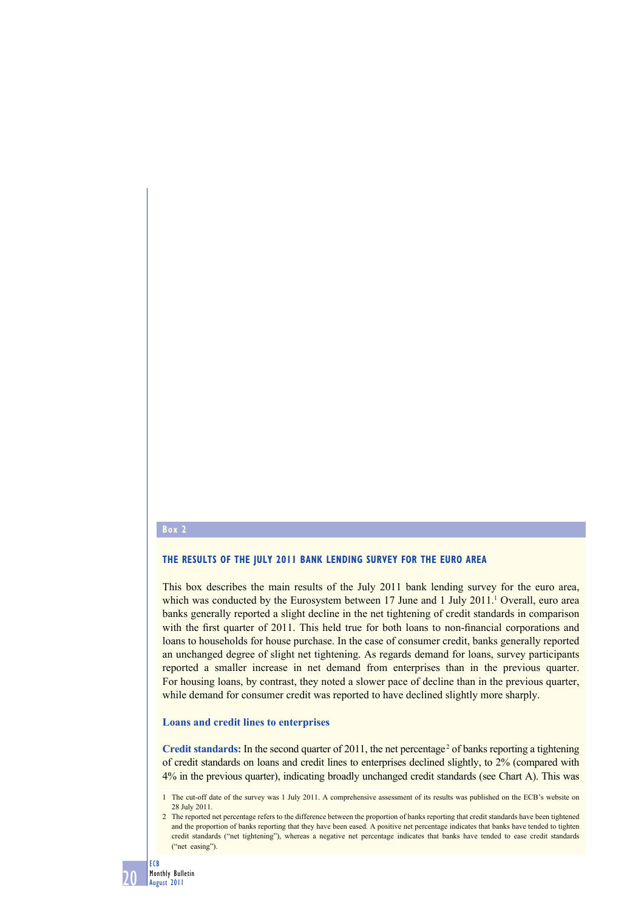#### **Box 2**

## **THE RESULTS OF THE JULY 2011 BANK LENDING SURVEY FOR THE EURO AREA**

This box describes the main results of the July 2011 bank lending survey for the euro area, which was conducted by the Eurosystem between  $17$  June and  $1$  July  $2011$ .<sup>1</sup> Overall, euro area banks generally reported a slight decline in the net tightening of credit standards in comparison with the first quarter of 2011. This held true for both loans to non-financial corporations and loans to households for house purchase. In the case of consumer credit, banks generally reported an unchanged degree of slight net tightening. As regards demand for loans, survey participants reported a smaller increase in net demand from enterprises than in the previous quarter. For housing loans, by contrast, they noted a slower pace of decline than in the previous quarter, while demand for consumer credit was reported to have declined slightly more sharply.

#### **Loans and credit lines to enterprises**

Credit standards: In the second quarter of  $2011$ , the net percentage<sup>2</sup> of banks reporting a tightening of credit standards on loans and credit lines to enterprises declined slightly, to 2% (compared with 4% in the previous quarter), indicating broadly unchanged credit standards (see Chart A). This was

<sup>2</sup> The reported net percentage refers to the difference between the proportion of banks reporting that credit standards have been tightened and the proportion of banks reporting that they have been eased. A positive net percentage indicates that banks have tended to tighten credit standards ("net tightening"), whereas a negative net percentage indicates that banks have tended to ease credit standards ("net easing").



<sup>1</sup> The cut-off date of the survey was 1 July 2011. A comprehensive assessment of its results was published on the ECB's website on 28 July 2011.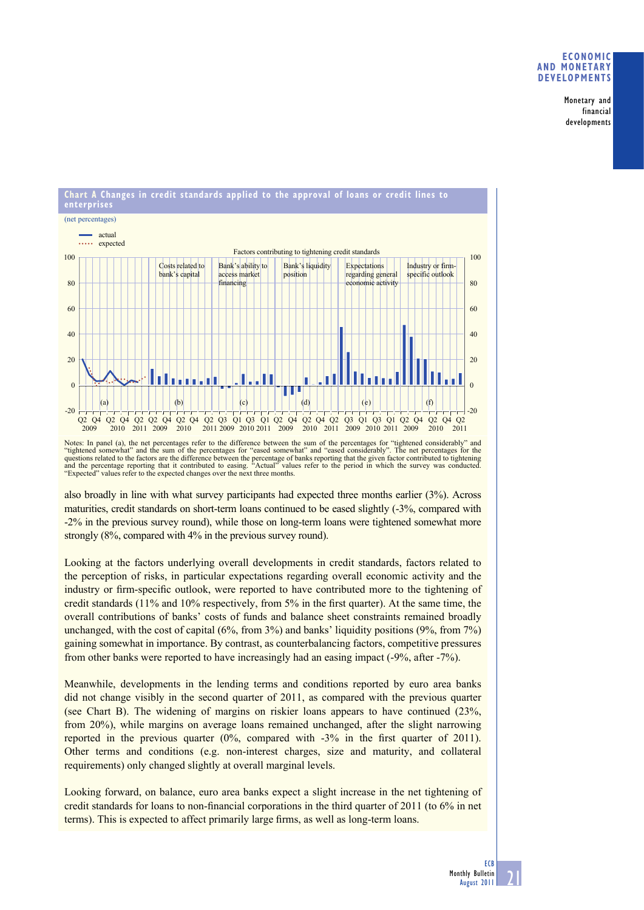## **ECONOMIC AND MONETARY DEVELOPMENTS**

Monetary and financial developments



Notes: In panel (a), the net percentages refer to the difference between the sum of the percentages for "tightened considerably" and "tightened somewhat" and the sum of the percentages for "eased somewhat" and "eased considerably". The net percentages for the<br>questions related to the factors are the difference between the percentage of banks reporting t and the percentage reporting that it contributed to easing. "Actual" values "Expected" values refer to the expected changes over the next three months.

also broadly in line with what survey participants had expected three months earlier (3%). Across maturities, credit standards on short-term loans continued to be eased slightly (-3%, compared with -2% in the previous survey round), while those on long-term loans were tightened somewhat more strongly (8%, compared with 4% in the previous survey round).

Looking at the factors underlying overall developments in credit standards, factors related to the perception of risks, in particular expectations regarding overall economic activity and the industry or firm-specific outlook, were reported to have contributed more to the tightening of credit standards  $(11\%$  and  $10\%$  respectively, from 5% in the first quarter). At the same time, the overall contributions of banks' costs of funds and balance sheet constraints remained broadly unchanged, with the cost of capital (6%, from 3%) and banks' liquidity positions (9%, from 7%) gaining somewhat in importance. By contrast, as counterbalancing factors, competitive pressures from other banks were reported to have increasingly had an easing impact (-9%, after -7%).

Meanwhile, developments in the lending terms and conditions reported by euro area banks did not change visibly in the second quarter of 2011, as compared with the previous quarter (see Chart B). The widening of margins on riskier loans appears to have continued (23%, from 20%), while margins on average loans remained unchanged, after the slight narrowing reported in the previous quarter  $(0\%,$  compared with  $-3\%$  in the first quarter of 2011). Other terms and conditions (e.g. non-interest charges, size and maturity, and collateral requirements) only changed slightly at overall marginal levels.

Looking forward, on balance, euro area banks expect a slight increase in the net tightening of credit standards for loans to non-financial corporations in the third quarter of 2011 (to 6% in net terms). This is expected to affect primarily large firms, as well as long-term loans.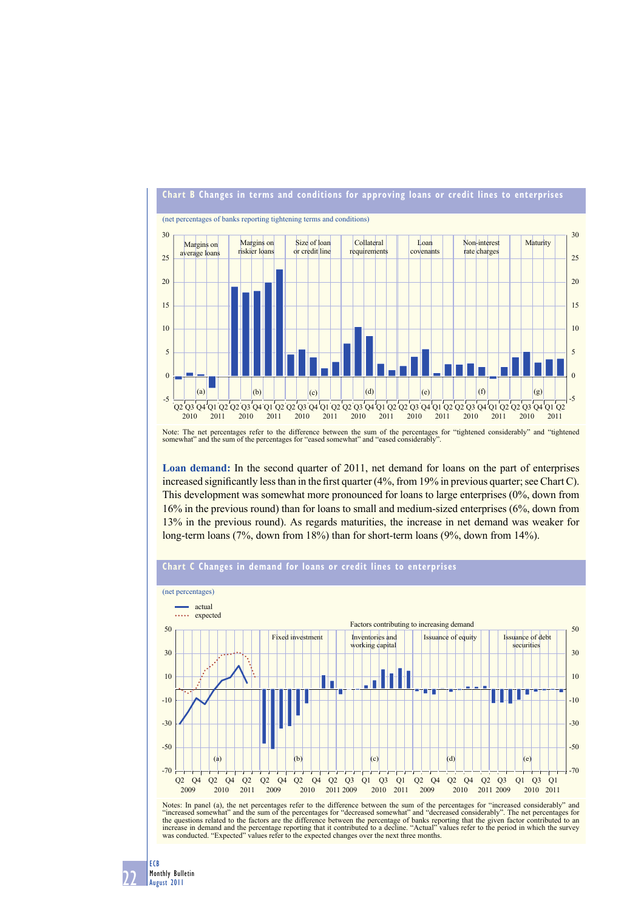

Note: The net percentages refer to the difference between the sum of the percentages for "tightened considerably" and "tightened somewhat" and the sum of the percentages for "eased somewhat" and "eased considerably".

**Loan demand:** In the second quarter of 2011, net demand for loans on the part of enterprises increased significantly less than in the first quarter  $(4\%$ , from 19% in previous quarter; see Chart C). This development was somewhat more pronounced for loans to large enterprises (0%, down from 16% in the previous round) than for loans to small and medium-sized enterprises (6%, down from 13% in the previous round). As regards maturities, the increase in net demand was weaker for long-term loans (7%, down from 18%) than for short-term loans (9%, down from 14%).

## **Chart C Changes in demand for loans or credit lines to enterprises**



Notes: In panel (a), the net percentages refer to the difference between the sum of the percentages for "increased considerably" and<br>"increased somewhat" and the sum of the percentages for "decreased somewhat" and "decreas the questions related to the factors are the difference between the percentage of banks reporting that the given factor contributed to an increase in demand and the percentage reporting that it contributed to a decline. "A was conducted. "Expected" values refer to the expected changes over the next three months.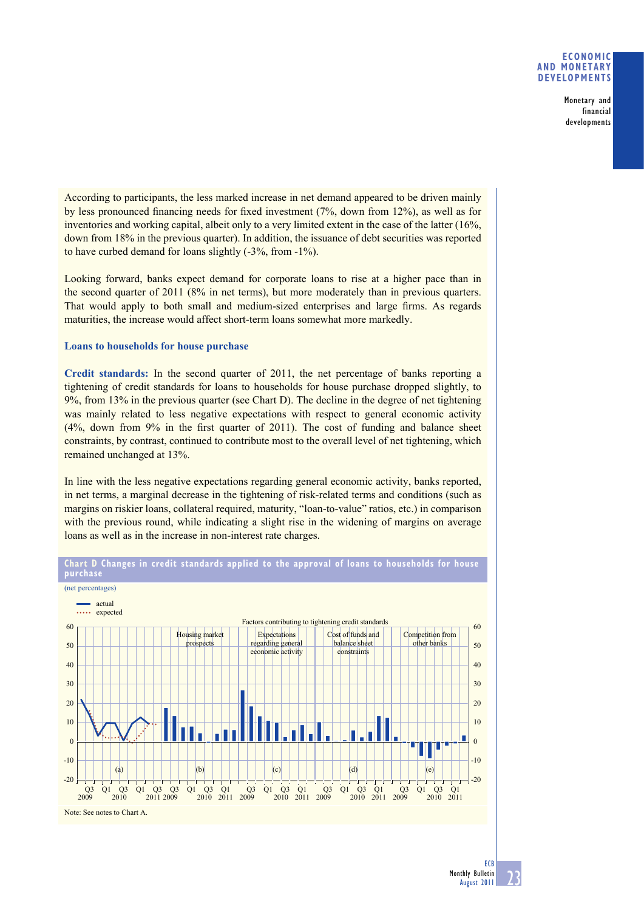## **ECONOMIC AND MONETARY DEVELOPMENTS**

Monetary and financial developments

According to participants, the less marked increase in net demand appeared to be driven mainly by less pronounced financing needs for fixed investment  $(7\%$ , down from 12%), as well as for inventories and working capital, albeit only to a very limited extent in the case of the latter (16%, down from 18% in the previous quarter). In addition, the issuance of debt securities was reported to have curbed demand for loans slightly (-3%, from -1%).

Looking forward, banks expect demand for corporate loans to rise at a higher pace than in the second quarter of 2011 (8% in net terms), but more moderately than in previous quarters. That would apply to both small and medium-sized enterprises and large firms. As regards maturities, the increase would affect short-term loans somewhat more markedly.

## **Loans to households for house purchase**

**Credit standards:** In the second quarter of 2011, the net percentage of banks reporting a tightening of credit standards for loans to households for house purchase dropped slightly, to 9%, from 13% in the previous quarter (see Chart D). The decline in the degree of net tightening was mainly related to less negative expectations with respect to general economic activity (4%, down from 9% in the first quarter of 2011). The cost of funding and balance sheet constraints, by contrast, continued to contribute most to the overall level of net tightening, which remained unchanged at 13%.

In line with the less negative expectations regarding general economic activity, banks reported, in net terms, a marginal decrease in the tightening of risk-related terms and conditions (such as margins on riskier loans, collateral required, maturity, "loan-to-value" ratios, etc.) in comparison with the previous round, while indicating a slight rise in the widening of margins on average loans as well as in the increase in non-interest rate charges.



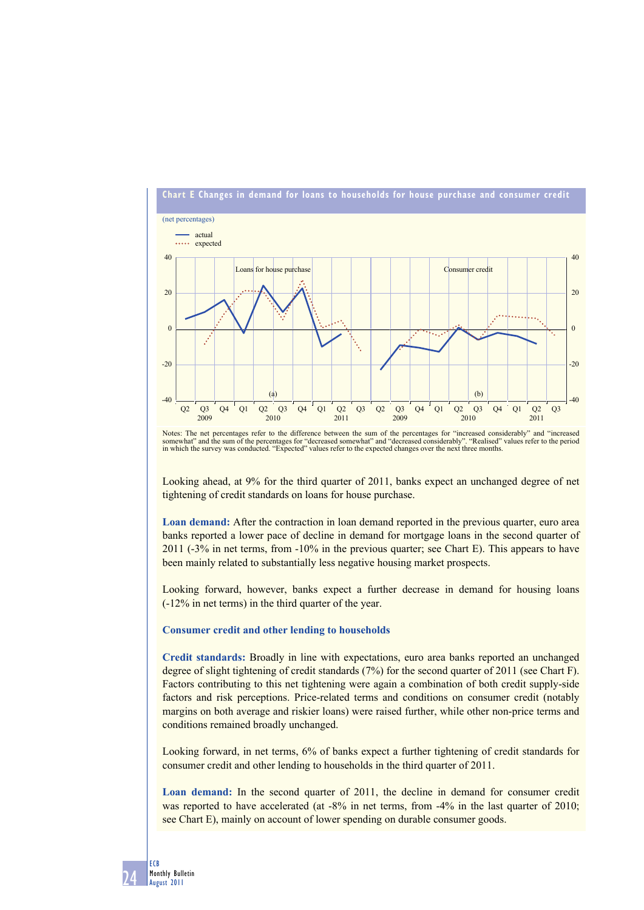

Notes: The net percentages refer to the difference between the sum of the percentages for "increased considerably" and "increased somewhat" and the sum of the percentages for "decreased somewhat" and "decreased considerably". "Realised" values refer to the period in which the survey was conducted. "Expected" values refer to the expected changes over

Looking ahead, at 9% for the third quarter of 2011, banks expect an unchanged degree of net tightening of credit standards on loans for house purchase.

**Loan demand:** After the contraction in loan demand reported in the previous quarter, euro area banks reported a lower pace of decline in demand for mortgage loans in the second quarter of 2011 (-3% in net terms, from -10% in the previous quarter; see Chart E). This appears to have been mainly related to substantially less negative housing market prospects.

Looking forward, however, banks expect a further decrease in demand for housing loans (-12% in net terms) in the third quarter of the year.

### **Consumer credit and other lending to households**

**Credit standards:** Broadly in line with expectations, euro area banks reported an unchanged degree of slight tightening of credit standards (7%) for the second quarter of 2011 (see Chart F). Factors contributing to this net tightening were again a combination of both credit supply-side factors and risk perceptions. Price-related terms and conditions on consumer credit (notably margins on both average and riskier loans) were raised further, while other non-price terms and conditions remained broadly unchanged.

Looking forward, in net terms, 6% of banks expect a further tightening of credit standards for consumer credit and other lending to households in the third quarter of 2011.

**Loan demand:** In the second quarter of 2011, the decline in demand for consumer credit was reported to have accelerated (at -8% in net terms, from -4% in the last quarter of 2010; see Chart E), mainly on account of lower spending on durable consumer goods.

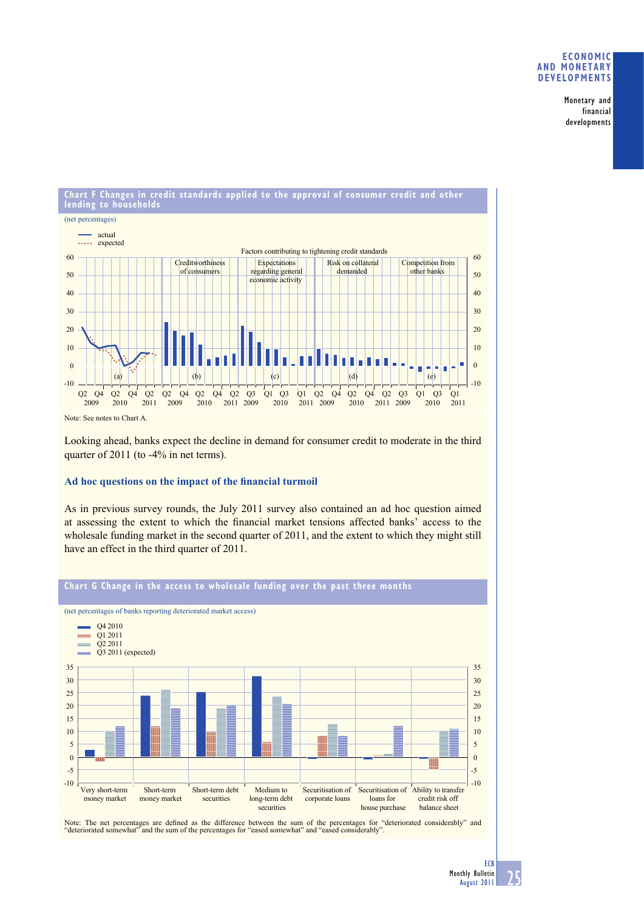## **ECONOMIC AND MONETARY DEVELOPMENTS**

Monetary and financial developments



Looking ahead, banks expect the decline in demand for consumer credit to moderate in the third quarter of 2011 (to -4% in net terms).

# Ad hoc questions on the impact of the financial turmoil

As in previous survey rounds, the July 2011 survey also contained an ad hoc question aimed at assessing the extent to which the financial market tensions affected banks' access to the wholesale funding market in the second quarter of 2011, and the extent to which they might still have an effect in the third quarter of 2011.



Note: The net percentages are defined as the difference between the sum of the percentages for "deteriorated considerably" and "deteriorated somewhat" and the sum of the percentages for "eased somewhat" and "eased considerably".